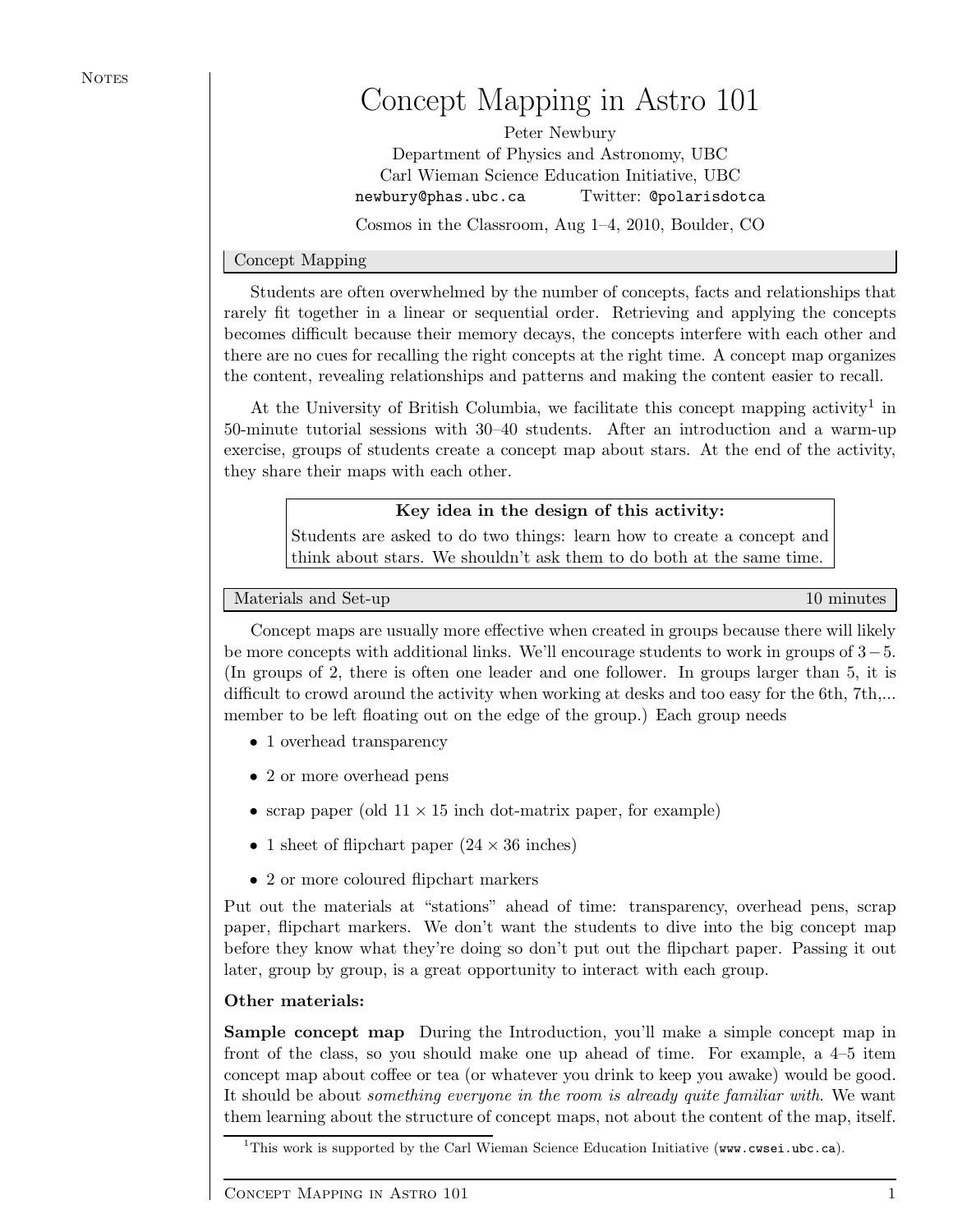# Concept Mapping in Astro 101

Peter Newbury Department of Physics and Astronomy, UBC Carl Wieman Science Education Initiative, UBC newbury@phas.ubc.ca Twitter: @polarisdotca Cosmos in the Classroom, Aug 1–4, 2010, Boulder, CO

# Concept Mapping

Students are often overwhelmed by the number of concepts, facts and relationships that rarely fit together in a linear or sequential order. Retrieving and applying the concepts becomes difficult because their memory decays, the concepts interfere with each other and there are no cues for recalling the right concepts at the right time. A concept map organizes the content, revealing relationships and patterns and making the content easier to recall.

At the University of British Columbia, we facilitate this concept mapping activity<sup>1</sup> in 50-minute tutorial sessions with 30–40 students. After an introduction and a warm-up exercise, groups of students create a concept map about stars. At the end of the activity, they share their maps with each other.

# Key idea in the design of this activity:

Students are asked to do two things: learn how to create a concept and think about stars. We shouldn't ask them to do both at the same time.

Materials and Set-up 10 minutes and Set-up 10 minutes and  $\frac{10}{2}$  minutes and  $\frac{10}{2}$  minutes and  $\frac{10}{2}$  minutes and  $\frac{10}{2}$  minutes and  $\frac{10}{2}$  minutes and  $\frac{10}{2}$  minutes and  $\frac{10}{2}$  minutes and  $\frac$ 

Concept maps are usually more effective when created in groups because there will likely be more concepts with additional links. We'll encourage students to work in groups of 3−5. (In groups of 2, there is often one leader and one follower. In groups larger than 5, it is difficult to crowd around the activity when working at desks and too easy for the 6th, 7th,... member to be left floating out on the edge of the group.) Each group needs

- 1 overhead transparency
- 2 or more overhead pens
- scrap paper (old  $11 \times 15$  inch dot-matrix paper, for example)
- 1 sheet of flipchart paper  $(24 \times 36 \text{ inches})$
- 2 or more coloured flipchart markers

Put out the materials at "stations" ahead of time: transparency, overhead pens, scrap paper, flipchart markers. We don't want the students to dive into the big concept map before they know what they're doing so don't put out the flipchart paper. Passing it out later, group by group, is a great opportunity to interact with each group.

# Other materials:

Sample concept map During the Introduction, you'll make a simple concept map in front of the class, so you should make one up ahead of time. For example, a 4–5 item concept map about coffee or tea (or whatever you drink to keep you awake) would be good. It should be about something everyone in the room is already quite familiar with. We want them learning about the structure of concept maps, not about the content of the map, itself.

 $\overline{11}$ This work is supported by the Carl Wieman Science Education Initiative (www.cwsei.ubc.ca).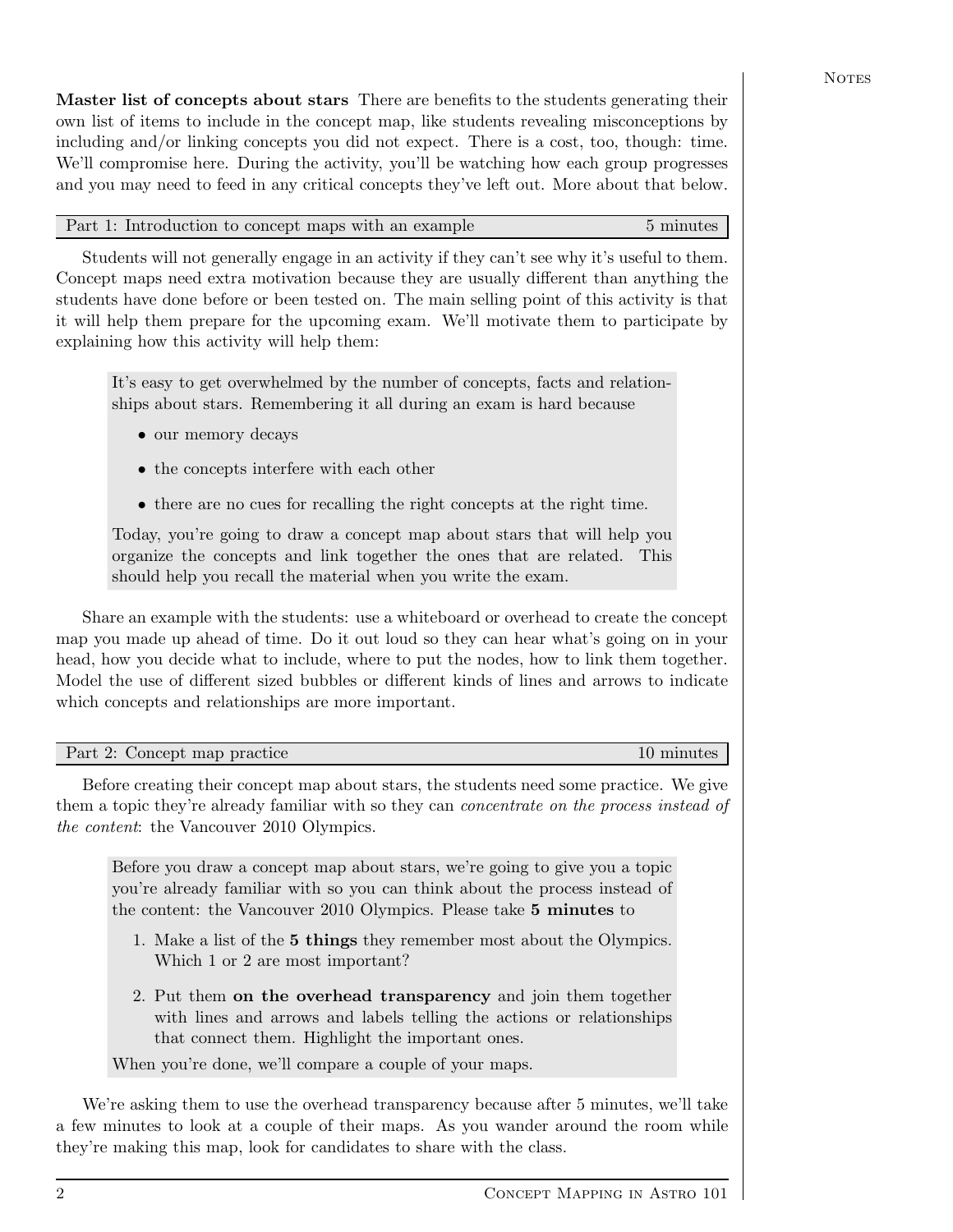Master list of concepts about stars There are benefits to the students generating their own list of items to include in the concept map, like students revealing misconceptions by including and/or linking concepts you did not expect. There is a cost, too, though: time. We'll compromise here. During the activity, you'll be watching how each group progresses and you may need to feed in any critical concepts they've left out. More about that below.

# Part 1: Introduction to concept maps with an example 5 minutes

Students will not generally engage in an activity if they can't see why it's useful to them. Concept maps need extra motivation because they are usually different than anything the students have done before or been tested on. The main selling point of this activity is that it will help them prepare for the upcoming exam. We'll motivate them to participate by explaining how this activity will help them:

It's easy to get overwhelmed by the number of concepts, facts and relationships about stars. Remembering it all during an exam is hard because

- our memory decays
- the concepts interfere with each other
- there are no cues for recalling the right concepts at the right time.

Today, you're going to draw a concept map about stars that will help you organize the concepts and link together the ones that are related. This should help you recall the material when you write the exam.

Share an example with the students: use a whiteboard or overhead to create the concept map you made up ahead of time. Do it out loud so they can hear what's going on in your head, how you decide what to include, where to put the nodes, how to link them together. Model the use of different sized bubbles or different kinds of lines and arrows to indicate which concepts and relationships are more important.

| Part 2: Concept map practice | 10 minutes |
|------------------------------|------------|

Before creating their concept map about stars, the students need some practice. We give them a topic they're already familiar with so they can *concentrate on the process instead of* the content: the Vancouver 2010 Olympics.

Before you draw a concept map about stars, we're going to give you a topic you're already familiar with so you can think about the process instead of the content: the Vancouver 2010 Olympics. Please take 5 minutes to

- 1. Make a list of the 5 things they remember most about the Olympics. Which 1 or 2 are most important?
- 2. Put them on the overhead transparency and join them together with lines and arrows and labels telling the actions or relationships that connect them. Highlight the important ones.

When you're done, we'll compare a couple of your maps.

We're asking them to use the overhead transparency because after 5 minutes, we'll take a few minutes to look at a couple of their maps. As you wander around the room while they're making this map, look for candidates to share with the class.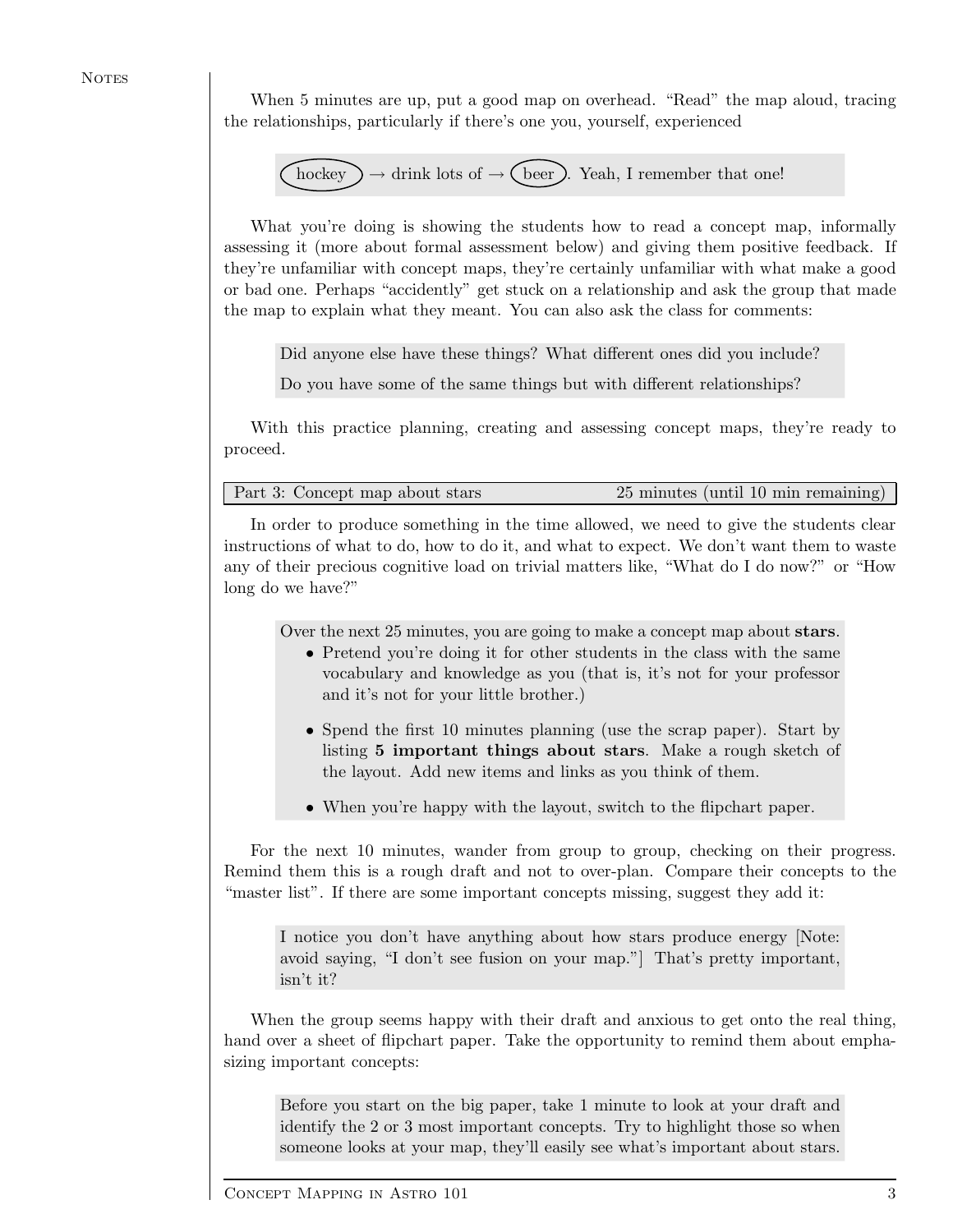**NOTES** 

When 5 minutes are up, put a good map on overhead. "Read" the map aloud, tracing the relationships, particularly if there's one you, yourself, experienced

hockey → drink lots of → beer . Yeah, I remember that one!

What you're doing is showing the students how to read a concept map, informally assessing it (more about formal assessment below) and giving them positive feedback. If they're unfamiliar with concept maps, they're certainly unfamiliar with what make a good or bad one. Perhaps "accidently" get stuck on a relationship and ask the group that made the map to explain what they meant. You can also ask the class for comments:

Did anyone else have these things? What different ones did you include?

Do you have some of the same things but with different relationships?

With this practice planning, creating and assessing concept maps, they're ready to proceed.

Part 3: Concept map about stars 25 minutes (until 10 min remaining)

In order to produce something in the time allowed, we need to give the students clear instructions of what to do, how to do it, and what to expect. We don't want them to waste any of their precious cognitive load on trivial matters like, "What do I do now?" or "How long do we have?"

Over the next 25 minutes, you are going to make a concept map about stars.

- Pretend you're doing it for other students in the class with the same vocabulary and knowledge as you (that is, it's not for your professor and it's not for your little brother.)
- Spend the first 10 minutes planning (use the scrap paper). Start by listing 5 important things about stars. Make a rough sketch of the layout. Add new items and links as you think of them.
- When you're happy with the layout, switch to the flipchart paper.

For the next 10 minutes, wander from group to group, checking on their progress. Remind them this is a rough draft and not to over-plan. Compare their concepts to the "master list". If there are some important concepts missing, suggest they add it:

I notice you don't have anything about how stars produce energy [Note: avoid saying, "I don't see fusion on your map."] That's pretty important, isn't it?

When the group seems happy with their draft and anxious to get onto the real thing, hand over a sheet of flipchart paper. Take the opportunity to remind them about emphasizing important concepts:

Before you start on the big paper, take 1 minute to look at your draft and identify the 2 or 3 most important concepts. Try to highlight those so when someone looks at your map, they'll easily see what's important about stars.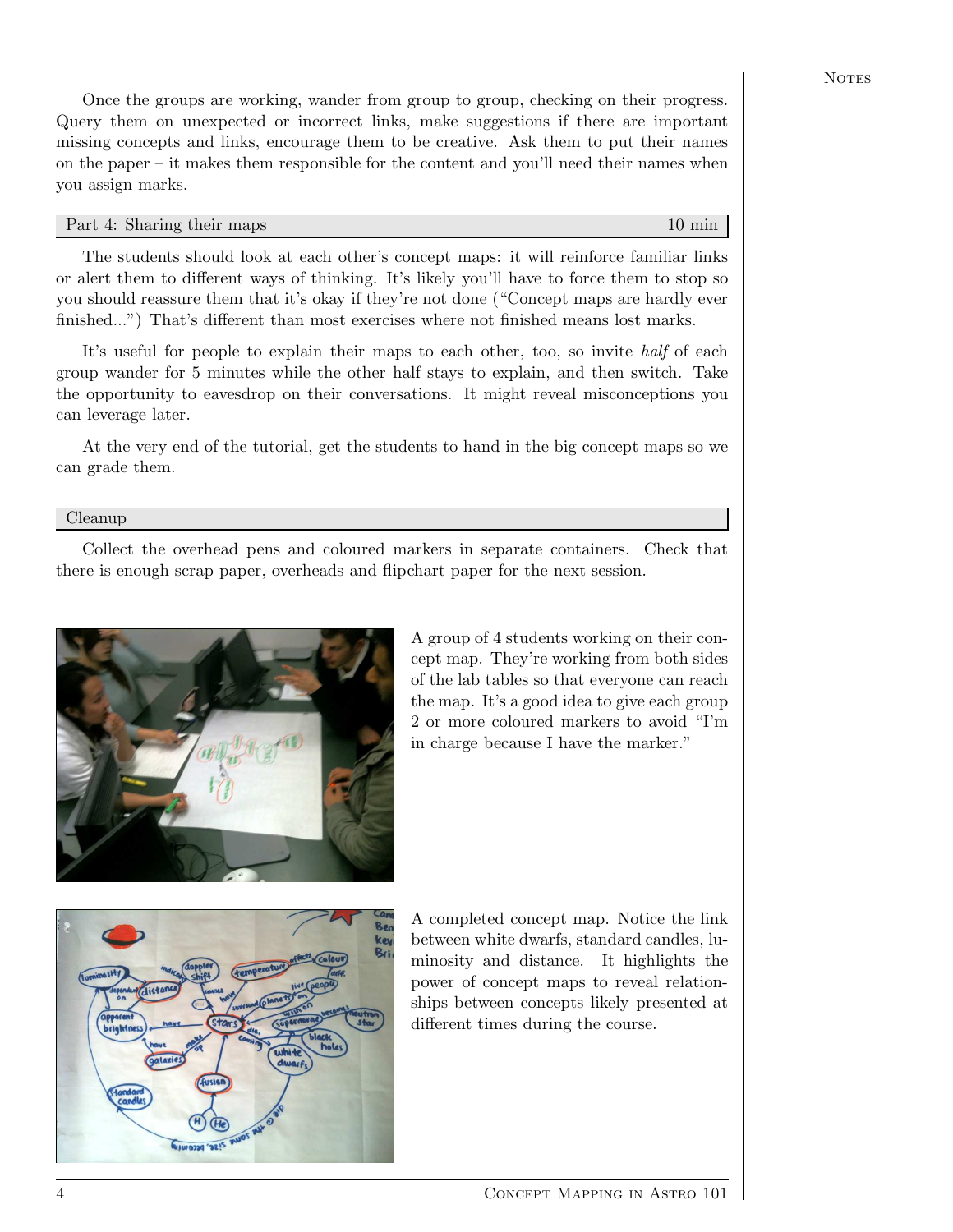Once the groups are working, wander from group to group, checking on their progress. Query them on unexpected or incorrect links, make suggestions if there are important missing concepts and links, encourage them to be creative. Ask them to put their names on the paper – it makes them responsible for the content and you'll need their names when you assign marks.

#### Part 4: Sharing their maps 10 min

The students should look at each other's concept maps: it will reinforce familiar links or alert them to different ways of thinking. It's likely you'll have to force them to stop so you should reassure them that it's okay if they're not done ("Concept maps are hardly ever finished...") That's different than most exercises where not finished means lost marks.

It's useful for people to explain their maps to each other, too, so invite half of each group wander for 5 minutes while the other half stays to explain, and then switch. Take the opportunity to eavesdrop on their conversations. It might reveal misconceptions you can leverage later.

At the very end of the tutorial, get the students to hand in the big concept maps so we can grade them.

#### Cleanup

Collect the overhead pens and coloured markers in separate containers. Check that there is enough scrap paper, overheads and flipchart paper for the next session.



A group of 4 students working on their concept map. They're working from both sides of the lab tables so that everyone can reach the map. It's a good idea to give each group 2 or more coloured markers to avoid "I'm in charge because I have the marker."



A completed concept map. Notice the link between white dwarfs, standard candles, luminosity and distance. It highlights the power of concept maps to reveal relationships between concepts likely presented at different times during the course.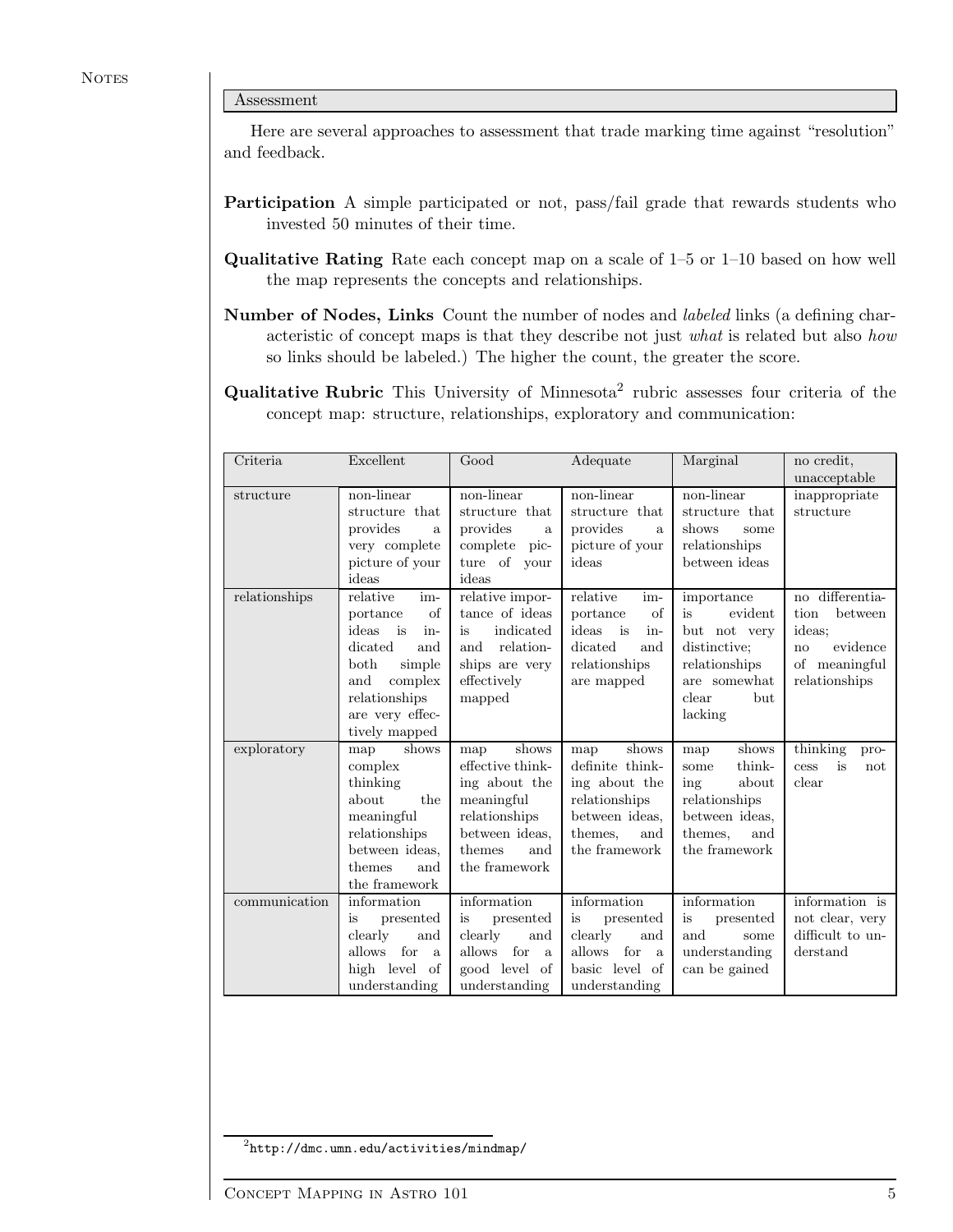#### Assessment

Here are several approaches to assessment that trade marking time against "resolution" and feedback.

- Participation A simple participated or not, pass/fail grade that rewards students who invested 50 minutes of their time.
- Qualitative Rating Rate each concept map on a scale of 1–5 or 1–10 based on how well the map represents the concepts and relationships.
- Number of Nodes, Links Count the number of nodes and labeled links (a defining characteristic of concept maps is that they describe not just what is related but also how so links should be labeled.) The higher the count, the greater the score.
- **Qualitative Rubric** This University of Minnesota<sup>2</sup> rubric assesses four criteria of the concept map: structure, relationships, exploratory and communication:

| Criteria      | Excellent                                                                                                                                                          | Good                                                                                                                                 | Adequate                                                                                                               | Marginal                                                                                                                | no credit,<br>unacceptable                                                                             |
|---------------|--------------------------------------------------------------------------------------------------------------------------------------------------------------------|--------------------------------------------------------------------------------------------------------------------------------------|------------------------------------------------------------------------------------------------------------------------|-------------------------------------------------------------------------------------------------------------------------|--------------------------------------------------------------------------------------------------------|
| structure     | $\overline{\text{non-linear}}$<br>structure that<br>provides<br>a.<br>very complete<br>picture of your<br>ideas                                                    | non-linear<br>structure that<br>provides<br>a<br>complete<br>pic-<br>ture of your<br>ideas                                           | non-linear<br>structure that<br>provides<br>a.<br>picture of your<br>ideas                                             | non-linear<br>structure that<br>shows<br>some<br>relationships<br>between ideas                                         | inappropriate<br>structure                                                                             |
| relationships | relative<br>im-<br>portance<br>of<br>ideas<br>is<br>in-<br>dicated<br>and<br>both<br>simple<br>and<br>complex<br>relationships<br>are very effec-<br>tively mapped | relative impor-<br>tance of ideas<br>indicated<br>is<br>relation-<br>and<br>ships are very<br>effectively<br>mapped                  | relative<br>im-<br>$\sigma$ f<br>portance<br>ideas is<br>in-<br>dicated<br>and<br>relationships<br>are mapped          | importance<br>is<br>evident<br>but not very<br>distinctive:<br>relationships<br>are somewhat<br>clear<br>but<br>lacking | differentia-<br>no<br>between<br>tion<br>ideas;<br>evidence<br>no<br>meaningful<br>οf<br>relationships |
| exploratory   | shows<br>map<br>complex<br>thinking<br>about<br>the<br>meaningful<br>relationships<br>between ideas,<br>themes<br>and<br>the framework                             | shows<br>map<br>effective think-<br>ing about the<br>meaningful<br>relationships<br>between ideas.<br>themes<br>and<br>the framework | shows<br>map<br>definite think-<br>ing about the<br>relationships<br>between ideas,<br>themes.<br>and<br>the framework | shows<br>map<br>think-<br>some<br>about<br>ing<br>relationships<br>between ideas,<br>themes.<br>and<br>the framework    | thinking<br>pro-<br>is<br>cess<br>not<br>clear                                                         |
| communication | information<br>is<br>presented<br>clearly<br>and<br>allows<br>for<br>$\mathbf{a}$<br>high level of<br>understanding                                                | information<br>presented<br>is<br>clearly<br>and<br>allows for<br>$\mathbf{a}$<br>good level of<br>understanding                     | information<br>presented<br>is<br>clearly<br>and<br>allows<br>for<br>a<br>basic level of<br>understanding              | information<br>is<br>presented<br>and<br>some<br>understanding<br>can be gained                                         | information is<br>not clear, very<br>difficult to un-<br>derstand                                      |

 $^{2}$ http://dmc.umn.edu/activities/mindmap/